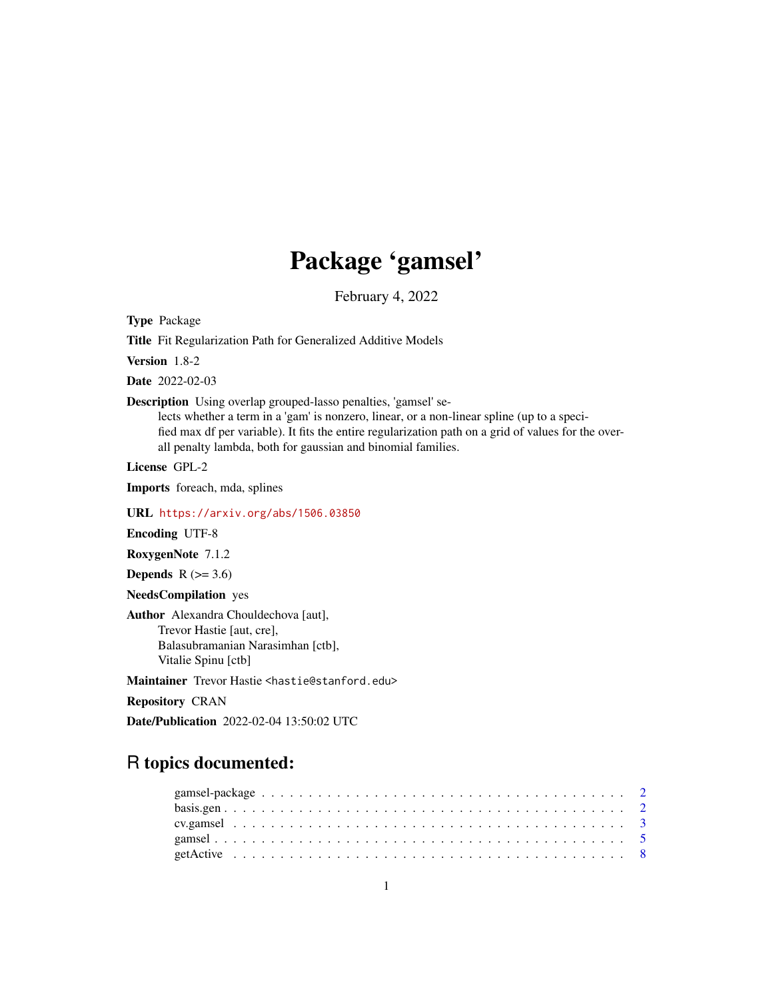# Package 'gamsel'

February 4, 2022

Type Package

Title Fit Regularization Path for Generalized Additive Models

Version 1.8-2

Date 2022-02-03

Description Using overlap grouped-lasso penalties, 'gamsel' se-

lects whether a term in a 'gam' is nonzero, linear, or a non-linear spline (up to a specified max df per variable). It fits the entire regularization path on a grid of values for the overall penalty lambda, both for gaussian and binomial families.

License GPL-2

Imports foreach, mda, splines

URL <https://arxiv.org/abs/1506.03850>

Encoding UTF-8

RoxygenNote 7.1.2

**Depends**  $R$  ( $>= 3.6$ )

NeedsCompilation yes

Author Alexandra Chouldechova [aut], Trevor Hastie [aut, cre], Balasubramanian Narasimhan [ctb], Vitalie Spinu [ctb]

Maintainer Trevor Hastie <hastie@stanford.edu>

Repository CRAN

Date/Publication 2022-02-04 13:50:02 UTC

# R topics documented: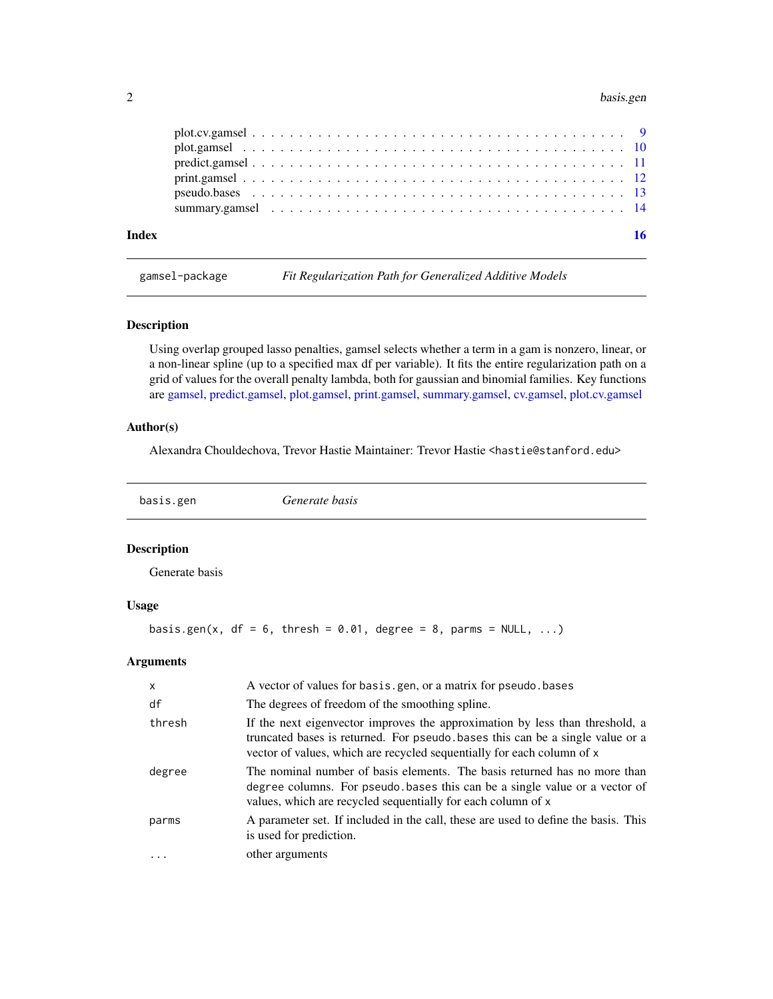#### <span id="page-1-0"></span>2 basis.gen

| Index |  |  |  |  |  |  |  |  |  |  |  |  |  |  |  |  |  |
|-------|--|--|--|--|--|--|--|--|--|--|--|--|--|--|--|--|--|
|       |  |  |  |  |  |  |  |  |  |  |  |  |  |  |  |  |  |
|       |  |  |  |  |  |  |  |  |  |  |  |  |  |  |  |  |  |
|       |  |  |  |  |  |  |  |  |  |  |  |  |  |  |  |  |  |
|       |  |  |  |  |  |  |  |  |  |  |  |  |  |  |  |  |  |
|       |  |  |  |  |  |  |  |  |  |  |  |  |  |  |  |  |  |
|       |  |  |  |  |  |  |  |  |  |  |  |  |  |  |  |  |  |

gamsel-package *Fit Regularization Path for Generalized Additive Models*

# Description

Using overlap grouped lasso penalties, gamsel selects whether a term in a gam is nonzero, linear, or a non-linear spline (up to a specified max df per variable). It fits the entire regularization path on a grid of values for the overall penalty lambda, both for gaussian and binomial families. Key functions are [gamsel,](#page-4-1) [predict.gamsel,](#page-10-1) [plot.gamsel,](#page-9-1) [print.gamsel,](#page-11-1) [summary.gamsel,](#page-13-1) [cv.gamsel,](#page-2-1) [plot.cv.gamsel](#page-8-1)

# Author(s)

Alexandra Chouldechova, Trevor Hastie Maintainer: Trevor Hastie <hastie@stanford.edu>

<span id="page-1-1"></span>

basis.gen *Generate basis*

# Description

Generate basis

# Usage

basis.gen(x,  $df = 6$ , thresh = 0.01, degree = 8, parms = NULL, ...)

#### Arguments

| $\mathsf{x}$ | A vector of values for basis.gen, or a matrix for pseudo.bases                                                                                                                                                                          |
|--------------|-----------------------------------------------------------------------------------------------------------------------------------------------------------------------------------------------------------------------------------------|
| df           | The degrees of freedom of the smoothing spline.                                                                                                                                                                                         |
| thresh       | If the next eigenvector improves the approximation by less than threshold, a<br>truncated bases is returned. For pseudo bases this can be a single value or a<br>vector of values, which are recycled sequentially for each column of x |
| degree       | The nominal number of basis elements. The basis returned has no more than<br>degree columns. For pseudo bases this can be a single value or a vector of<br>values, which are recycled sequentially for each column of x                 |
| parms        | A parameter set. If included in the call, these are used to define the basis. This<br>is used for prediction.                                                                                                                           |
| $\ddots$     | other arguments                                                                                                                                                                                                                         |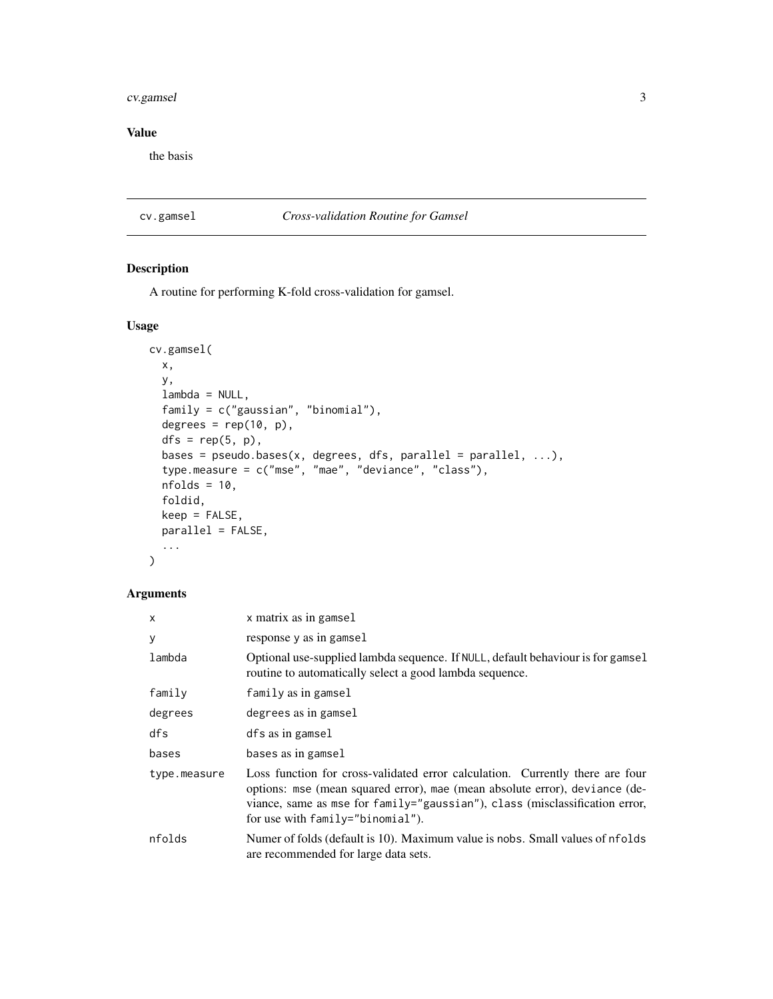#### <span id="page-2-0"></span>cv.gamsel 3

# Value

the basis

# <span id="page-2-1"></span>cv.gamsel *Cross-validation Routine for Gamsel*

# Description

A routine for performing K-fold cross-validation for gamsel.

# Usage

```
cv.gamsel(
  x,
 y,
  lambda = NULL,
  family = c("gaussian", "binomial"),
  degrees = rep(10, p),
  dfs = rep(5, p),bases = pseudo.bases(x, degrees, dfs, parallel = parallel, \ldots),
  type.measure = c("mse", "mae", "deviance", "class"),
  nfolds = 10,
  foldid,
 keep = FALSE,
 parallel = FALSE,
  ...
)
```
# Arguments

| $\mathsf{x}$ | x matrix as in gamsel                                                                                                                                                                                                                                                           |
|--------------|---------------------------------------------------------------------------------------------------------------------------------------------------------------------------------------------------------------------------------------------------------------------------------|
| y            | response y as in gamsel                                                                                                                                                                                                                                                         |
| lambda       | Optional use-supplied lambda sequence. If NULL, default behaviour is for gamsel<br>routine to automatically select a good lambda sequence.                                                                                                                                      |
| family       | family as in gamsel                                                                                                                                                                                                                                                             |
| degrees      | degrees as in gamsel                                                                                                                                                                                                                                                            |
| dfs          | dfs as in gamsel                                                                                                                                                                                                                                                                |
| bases        | bases as in gamsel                                                                                                                                                                                                                                                              |
| type.measure | Loss function for cross-validated error calculation. Currently there are four<br>options: mse (mean squared error), mae (mean absolute error), deviance (de-<br>viance, same as mse for family="gaussian"), class (misclassification error,<br>for use with family="binomial"). |
| nfolds       | Numer of folds (default is 10). Maximum value is nobs. Small values of nfolds<br>are recommended for large data sets.                                                                                                                                                           |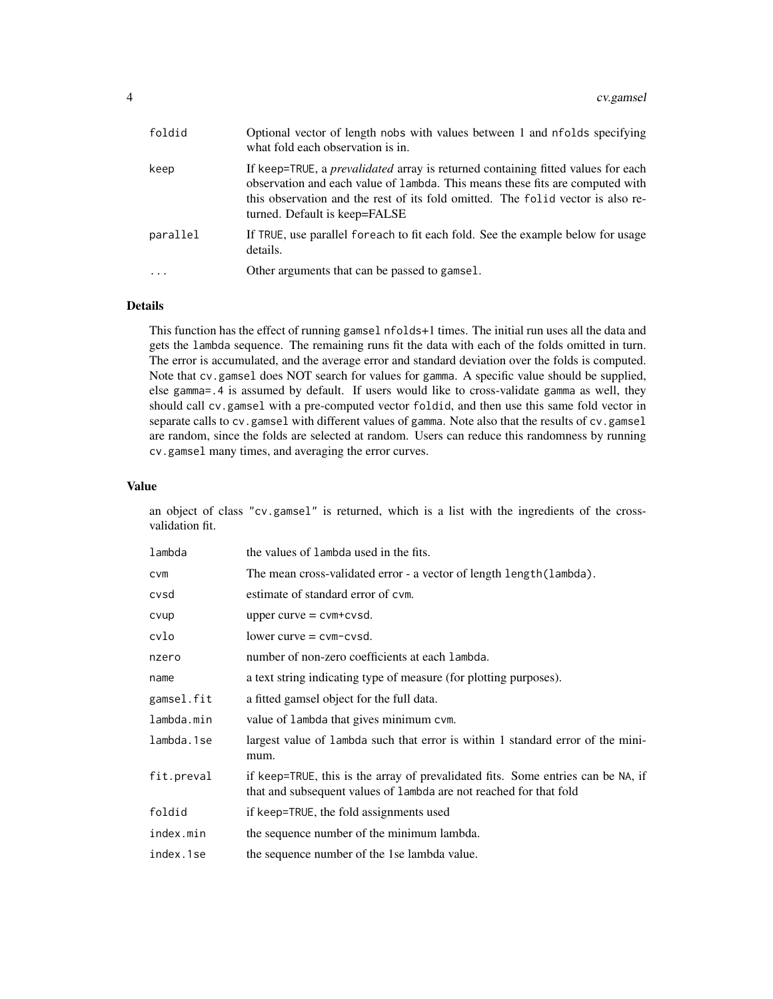| foldid    | Optional vector of length nobs with values between 1 and nfolds specifying<br>what fold each observation is in.                                                                                                                                                                              |
|-----------|----------------------------------------------------------------------------------------------------------------------------------------------------------------------------------------------------------------------------------------------------------------------------------------------|
| keep      | If keep=TRUE, a <i>prevalidated</i> array is returned containing fitted values for each<br>observation and each value of lambda. This means these fits are computed with<br>this observation and the rest of its fold omitted. The folid vector is also re-<br>turned. Default is keep=FALSE |
| parallel  | If TRUE, use parallel for each to fit each fold. See the example below for usage<br>details.                                                                                                                                                                                                 |
| $\ddotsc$ | Other arguments that can be passed to gamsel.                                                                                                                                                                                                                                                |

# Details

This function has the effect of running gamsel nfolds+1 times. The initial run uses all the data and gets the lambda sequence. The remaining runs fit the data with each of the folds omitted in turn. The error is accumulated, and the average error and standard deviation over the folds is computed. Note that cv.gamsel does NOT search for values for gamma. A specific value should be supplied, else gamma=.4 is assumed by default. If users would like to cross-validate gamma as well, they should call cv.gamsel with a pre-computed vector foldid, and then use this same fold vector in separate calls to cv.gamsel with different values of gamma. Note also that the results of cv.gamsel are random, since the folds are selected at random. Users can reduce this randomness by running cv.gamsel many times, and averaging the error curves.

#### Value

an object of class "cv.gamsel" is returned, which is a list with the ingredients of the crossvalidation fit.

| lambda     | the values of lambda used in the fits.                                                                                                                 |
|------------|--------------------------------------------------------------------------------------------------------------------------------------------------------|
| CVM        | The mean cross-validated error - a vector of length length (lambda).                                                                                   |
| cvsd       | estimate of standard error of cym.                                                                                                                     |
| cvup       | upper curve $=$ cvm+cvsd.                                                                                                                              |
| cvlo       | $lower curve = cvm-cvsd.$                                                                                                                              |
| nzero      | number of non-zero coefficients at each lambda.                                                                                                        |
| name       | a text string indicating type of measure (for plotting purposes).                                                                                      |
| gamsel.fit | a fitted gamsel object for the full data.                                                                                                              |
| lambda.min | value of lambda that gives minimum cvm.                                                                                                                |
| lambda.1se | largest value of lambda such that error is within 1 standard error of the mini-<br>mum.                                                                |
| fit.preval | if keep=TRUE, this is the array of prevalidated fits. Some entries can be NA, if<br>that and subsequent values of lambda are not reached for that fold |
| foldid     | if keep=TRUE, the fold assignments used                                                                                                                |
| index.min  | the sequence number of the minimum lambda.                                                                                                             |
| index.1se  | the sequence number of the 1se lambda value.                                                                                                           |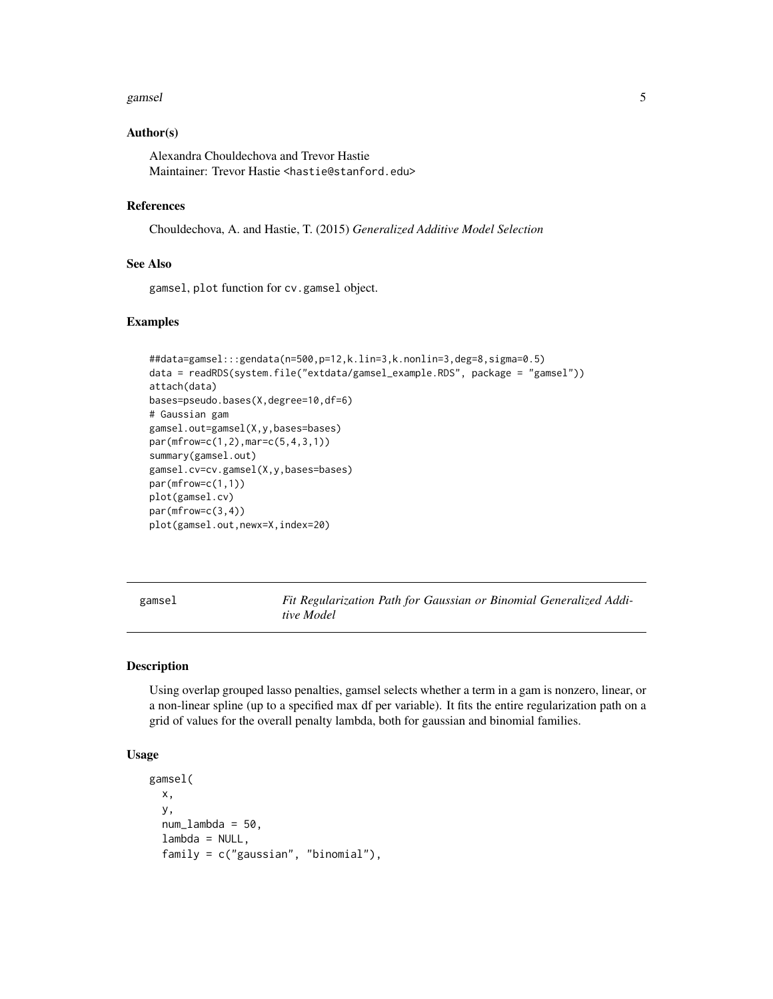#### <span id="page-4-0"></span>gamsel 5 and 5 and 5 and 5 and 5 and 5 and 5 and 5 and 5 and 5 and 5 and 5 and 5 and 5 and 5 and 5 and 5 and 5

#### Author(s)

Alexandra Chouldechova and Trevor Hastie Maintainer: Trevor Hastie <hastie@stanford.edu>

#### References

Chouldechova, A. and Hastie, T. (2015) *Generalized Additive Model Selection*

# See Also

gamsel, plot function for cv.gamsel object.

#### Examples

```
##data=gamsel:::gendata(n=500,p=12,k.lin=3,k.nonlin=3,deg=8,sigma=0.5)
data = readRDS(system.file("extdata/gamsel_example.RDS", package = "gamsel"))
attach(data)
bases=pseudo.bases(X,degree=10,df=6)
# Gaussian gam
gamsel.out=gamsel(X,y,bases=bases)
par(mfrow=c(1,2),mar=c(5,4,3,1))
summary(gamsel.out)
gamsel.cv=cv.gamsel(X,y,bases=bases)
par(mfrow=c(1,1))
plot(gamsel.cv)
par(mfrow=c(3,4))
plot(gamsel.out,newx=X,index=20)
```
<span id="page-4-1"></span>gamsel *Fit Regularization Path for Gaussian or Binomial Generalized Additive Model*

# Description

Using overlap grouped lasso penalties, gamsel selects whether a term in a gam is nonzero, linear, or a non-linear spline (up to a specified max df per variable). It fits the entire regularization path on a grid of values for the overall penalty lambda, both for gaussian and binomial families.

#### Usage

```
gamsel(
 x,
 y,
 num_lambda = 50,
  lambda = NULL,family = c("gaussian", "binomial"),
```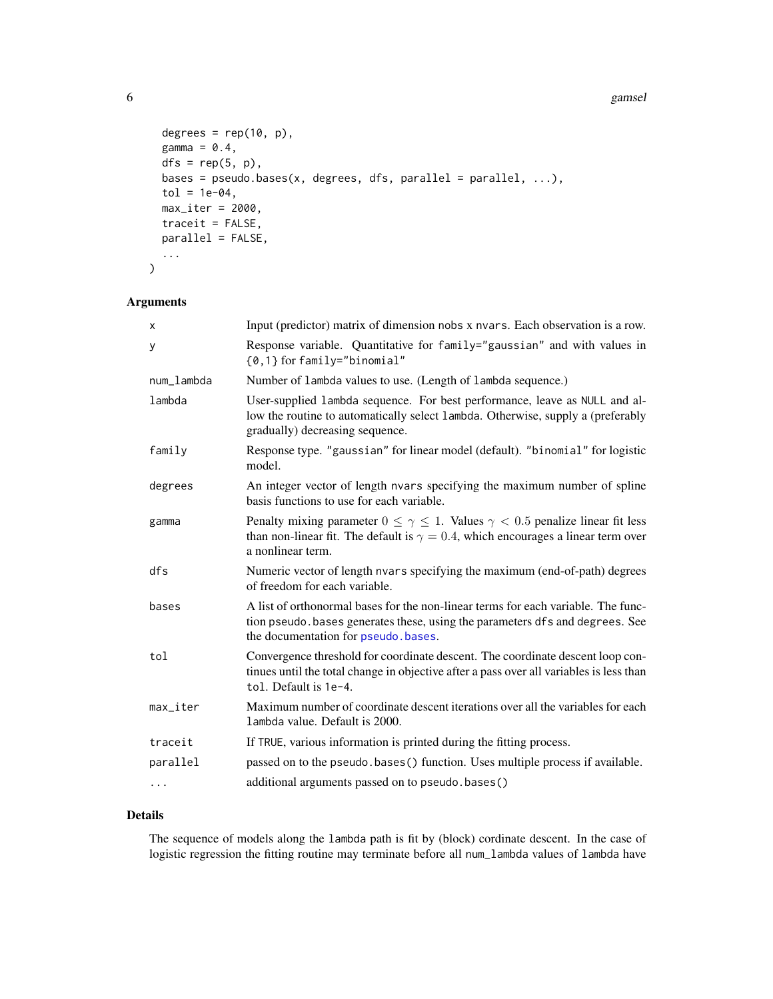#### 6 gamsel

```
degrees = rep(10, p),
  gamma = 0.4,
  dfs = rep(5, p),bases = pseudo.bases(x, degrees, dfs, parallel = parallel, \dots),
  tol = 1e-04,max\_iter = 2000,traceit = FALSE,
 parallel = FALSE,
  ...
\mathcal{L}
```
# Arguments

| X                      | Input (predictor) matrix of dimension nobs x nvars. Each observation is a row.                                                                                                                                  |
|------------------------|-----------------------------------------------------------------------------------------------------------------------------------------------------------------------------------------------------------------|
| У                      | Response variable. Quantitative for family="gaussian" and with values in<br>{0,1} for family="binomial"                                                                                                         |
| num lambda             | Number of lambda values to use. (Length of lambda sequence.)                                                                                                                                                    |
| lambda                 | User-supplied lambda sequence. For best performance, leave as NULL and al-<br>low the routine to automatically select lambda. Otherwise, supply a (preferably<br>gradually) decreasing sequence.                |
| family                 | Response type. "gaussian" for linear model (default). "binomial" for logistic<br>model.                                                                                                                         |
| degrees                | An integer vector of length nvars specifying the maximum number of spline<br>basis functions to use for each variable.                                                                                          |
| gamma                  | Penalty mixing parameter $0 \le \gamma \le 1$ . Values $\gamma < 0.5$ penalize linear fit less<br>than non-linear fit. The default is $\gamma = 0.4$ , which encourages a linear term over<br>a nonlinear term. |
| dfs                    | Numeric vector of length nvars specifying the maximum (end-of-path) degrees<br>of freedom for each variable.                                                                                                    |
| bases                  | A list of orthonormal bases for the non-linear terms for each variable. The func-<br>tion pseudo. bases generates these, using the parameters dfs and degrees. See<br>the documentation for pseudo.bases.       |
| tol                    | Convergence threshold for coordinate descent. The coordinate descent loop con-<br>tinues until the total change in objective after a pass over all variables is less than<br>tol. Default is 1e-4.              |
| $max$ <sub>Liter</sub> | Maximum number of coordinate descent iterations over all the variables for each<br>lambda value. Default is 2000.                                                                                               |
| traceit                | If TRUE, various information is printed during the fitting process.                                                                                                                                             |
| parallel               | passed on to the pseudo bases () function. Uses multiple process if available.                                                                                                                                  |
| .                      | additional arguments passed on to pseudo.bases()                                                                                                                                                                |

# Details

The sequence of models along the lambda path is fit by (block) cordinate descent. In the case of logistic regression the fitting routine may terminate before all num\_lambda values of lambda have

<span id="page-5-0"></span>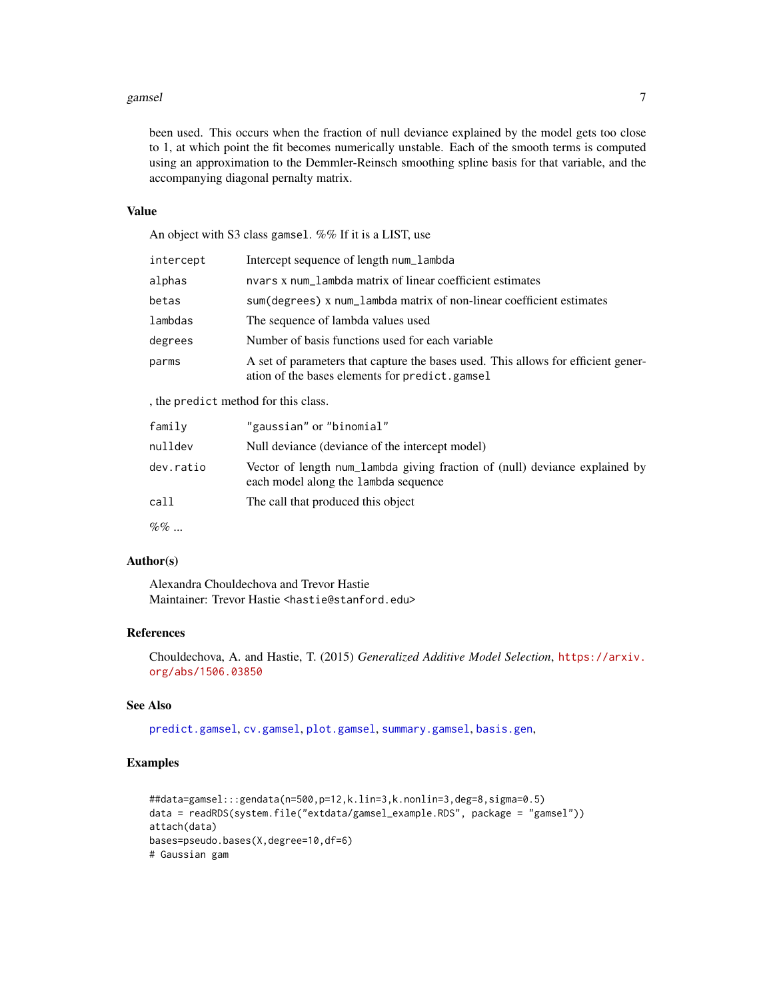#### <span id="page-6-0"></span>gamsel **7**

been used. This occurs when the fraction of null deviance explained by the model gets too close to 1, at which point the fit becomes numerically unstable. Each of the smooth terms is computed using an approximation to the Demmler-Reinsch smoothing spline basis for that variable, and the accompanying diagonal pernalty matrix.

# Value

An object with S3 class gamsel. %% If it is a LIST, use

| intercept                         | Intercept sequence of length num_lambda                                                                                             |
|-----------------------------------|-------------------------------------------------------------------------------------------------------------------------------------|
| alphas                            | nvars x num_lambda matrix of linear coefficient estimates                                                                           |
| betas                             | sum (degrees) x num_lambda matrix of non-linear coefficient estimates                                                               |
| lambdas                           | The sequence of lambda values used                                                                                                  |
| degrees                           | Number of basis functions used for each variable                                                                                    |
| parms                             | A set of parameters that capture the bases used. This allows for efficient gener-<br>ation of the bases elements for predict.gamsel |
| the product method for this close |                                                                                                                                     |

, the predict method for this class.

| family    | "gaussian" or "binomial"                                                                                            |
|-----------|---------------------------------------------------------------------------------------------------------------------|
| nulldev   | Null deviance (deviance of the intercept model)                                                                     |
| dev.ratio | Vector of length num_lambda giving fraction of (null) deviance explained by<br>each model along the lambda sequence |
| call      | The call that produced this object                                                                                  |
| $\%$ % $$ |                                                                                                                     |

# Author(s)

Alexandra Chouldechova and Trevor Hastie Maintainer: Trevor Hastie <hastie@stanford.edu>

### References

Chouldechova, A. and Hastie, T. (2015) *Generalized Additive Model Selection*, [https://arxiv.](https://arxiv.org/abs/1506.03850) [org/abs/1506.03850](https://arxiv.org/abs/1506.03850)

#### See Also

[predict.gamsel](#page-10-1), [cv.gamsel](#page-2-1), [plot.gamsel](#page-9-1), [summary.gamsel](#page-13-1), [basis.gen](#page-1-1),

#### Examples

```
##data=gamsel:::gendata(n=500,p=12,k.lin=3,k.nonlin=3,deg=8,sigma=0.5)
data = readRDS(system.file("extdata/gamsel_example.RDS", package = "gamsel"))
attach(data)
bases=pseudo.bases(X,degree=10,df=6)
# Gaussian gam
```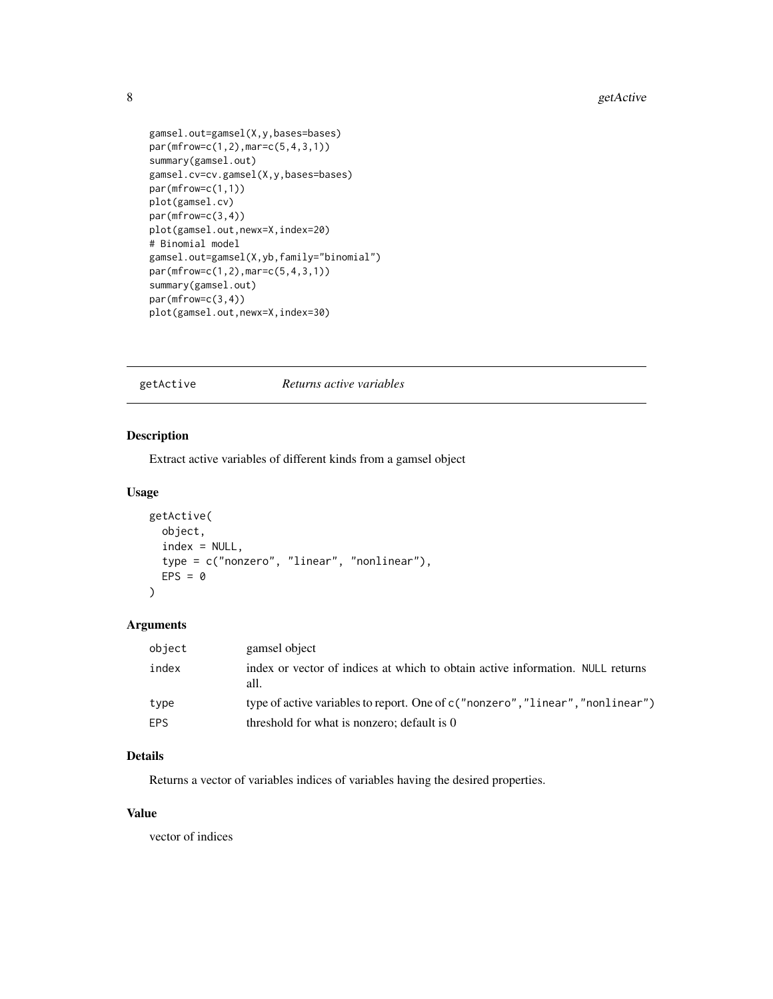```
gamsel.out=gamsel(X,y,bases=bases)
par(mfrow=c(1,2),mar=c(5,4,3,1))
summary(gamsel.out)
gamsel.cv=cv.gamsel(X,y,bases=bases)
par(mfrow=c(1,1))
plot(gamsel.cv)
par(mfrow=c(3,4))
plot(gamsel.out,newx=X,index=20)
# Binomial model
gamsel.out=gamsel(X,yb,family="binomial")
par(mfrow=c(1,2),mar=c(5,4,3,1))
summary(gamsel.out)
par(mfrow=c(3,4))
plot(gamsel.out,newx=X,index=30)
```
#### getActive *Returns active variables*

#### Description

Extract active variables of different kinds from a gamsel object

#### Usage

```
getActive(
 object,
  index = NULL,type = c("nonzero", "linear", "nonlinear"),
 EPS = 0
```
# Arguments

 $\mathcal{L}$ 

| object | gamsel object                                                                          |
|--------|----------------------------------------------------------------------------------------|
| index  | index or vector of indices at which to obtain active information. NULL returns<br>all. |
| type   | type of active variables to report. One of c ("nonzero","linear","nonlinear")          |
| EPS.   | threshold for what is nonzero; default is 0                                            |

# Details

Returns a vector of variables indices of variables having the desired properties.

# Value

vector of indices

<span id="page-7-0"></span>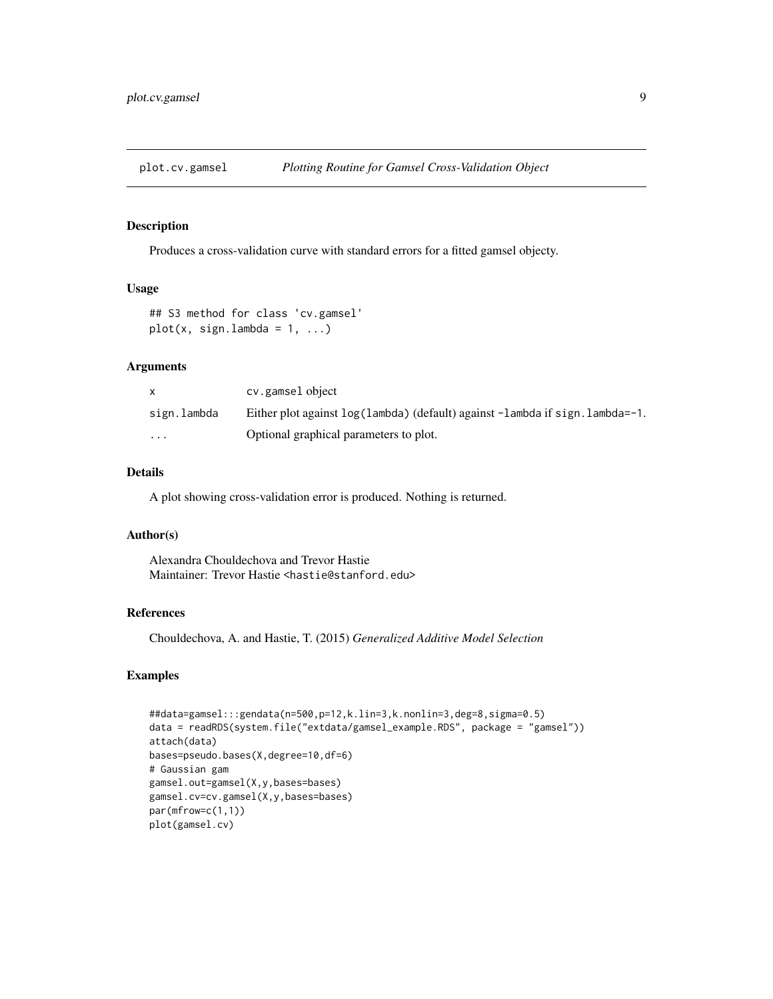<span id="page-8-1"></span><span id="page-8-0"></span>

#### Description

Produces a cross-validation curve with standard errors for a fitted gamsel objecty.

#### Usage

```
## S3 method for class 'cv.gamsel'
plot(x, sign.lambda = 1, ...)
```
# Arguments

|                         | cv.gamselobject                                                               |
|-------------------------|-------------------------------------------------------------------------------|
| sign.lambda             | Either plot against log(lambda) (default) against -lambda if sign. lambda=-1. |
| $\cdot$ $\cdot$ $\cdot$ | Optional graphical parameters to plot.                                        |

#### Details

A plot showing cross-validation error is produced. Nothing is returned.

#### Author(s)

Alexandra Chouldechova and Trevor Hastie Maintainer: Trevor Hastie <hastie@stanford.edu>

#### References

Chouldechova, A. and Hastie, T. (2015) *Generalized Additive Model Selection*

#### Examples

```
##data=gamsel:::gendata(n=500,p=12,k.lin=3,k.nonlin=3,deg=8,sigma=0.5)
data = readRDS(system.file("extdata/gamsel_example.RDS", package = "gamsel"))
attach(data)
bases=pseudo.bases(X,degree=10,df=6)
# Gaussian gam
gamsel.out=gamsel(X,y,bases=bases)
gamsel.cv=cv.gamsel(X,y,bases=bases)
par(mfrow=c(1,1))
plot(gamsel.cv)
```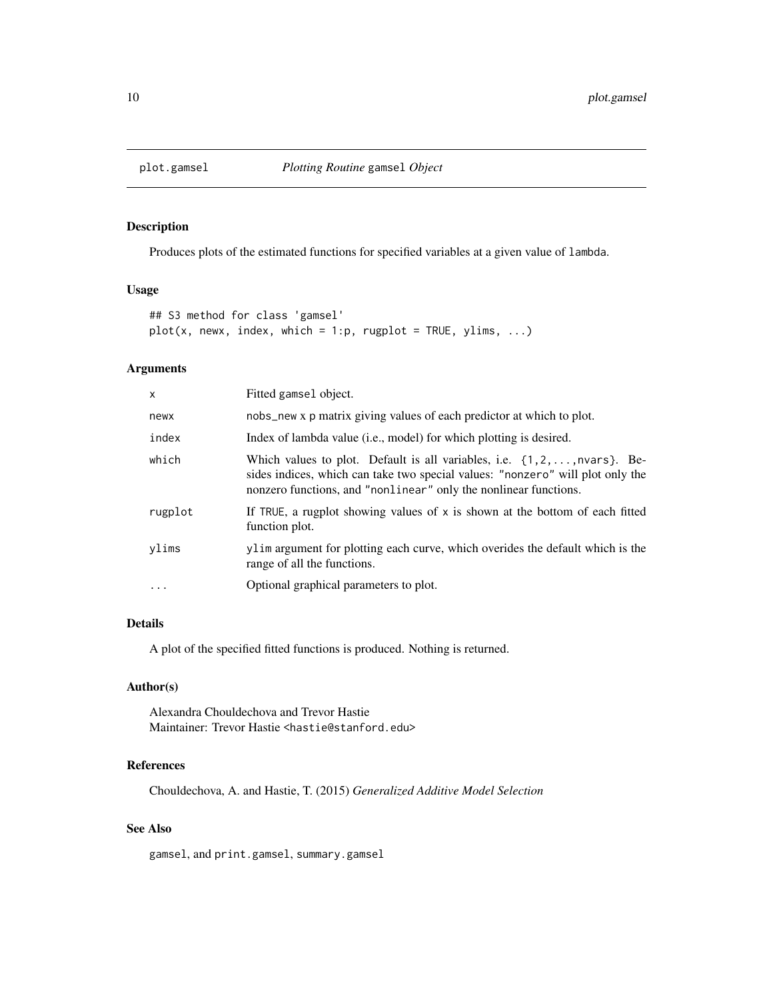<span id="page-9-1"></span><span id="page-9-0"></span>

# Description

Produces plots of the estimated functions for specified variables at a given value of lambda.

# Usage

```
## S3 method for class 'gamsel'
plot(x, newx, index, which = 1:p, rugby = TRUE, ylims, ...)
```
# Arguments

| X       | Fitted gamsel object.                                                                                                                                                                                                                              |
|---------|----------------------------------------------------------------------------------------------------------------------------------------------------------------------------------------------------------------------------------------------------|
| newx    | nobs_new x p matrix giving values of each predictor at which to plot.                                                                                                                                                                              |
| index   | Index of lambda value (i.e., model) for which plotting is desired.                                                                                                                                                                                 |
| which   | Which values to plot. Default is all variables, i.e. $\{1, 2, \ldots, n \text{vars}\}$ . Be-<br>sides indices, which can take two special values: "nonzero" will plot only the<br>nonzero functions, and "nonlinear" only the nonlinear functions. |
| rugplot | If TRUE, a rugplot showing values of $x$ is shown at the bottom of each fitted<br>function plot.                                                                                                                                                   |
| vlims   | ylim argument for plotting each curve, which overides the default which is the<br>range of all the functions.                                                                                                                                      |
| .       | Optional graphical parameters to plot.                                                                                                                                                                                                             |
|         |                                                                                                                                                                                                                                                    |

# Details

A plot of the specified fitted functions is produced. Nothing is returned.

# Author(s)

Alexandra Chouldechova and Trevor Hastie Maintainer: Trevor Hastie <hastie@stanford.edu>

# References

Chouldechova, A. and Hastie, T. (2015) *Generalized Additive Model Selection*

# See Also

gamsel, and print.gamsel, summary.gamsel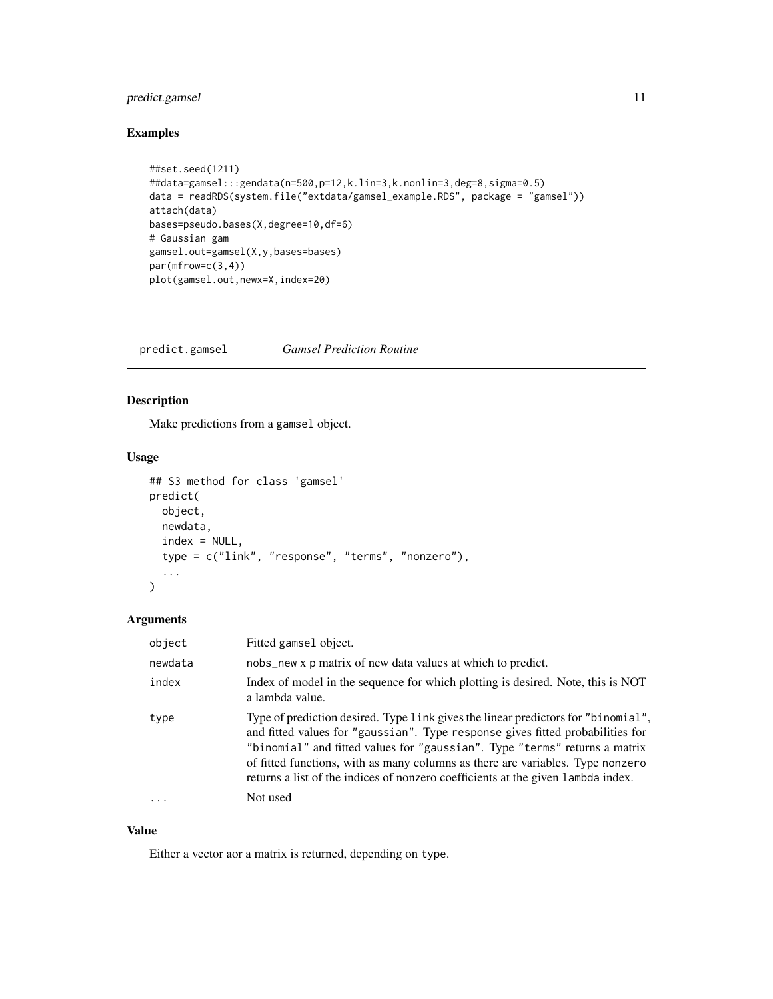# <span id="page-10-0"></span>predict.gamsel 11

# Examples

```
##set.seed(1211)
##data=gamsel:::gendata(n=500,p=12,k.lin=3,k.nonlin=3,deg=8,sigma=0.5)
data = readRDS(system.file("extdata/gamsel_example.RDS", package = "gamsel"))
attach(data)
bases=pseudo.bases(X,degree=10,df=6)
# Gaussian gam
gamsel.out=gamsel(X,y,bases=bases)
par(mfrow=c(3,4))
plot(gamsel.out,newx=X,index=20)
```
<span id="page-10-1"></span>predict.gamsel *Gamsel Prediction Routine*

# Description

Make predictions from a gamsel object.

# Usage

```
## S3 method for class 'gamsel'
predict(
  object,
  newdata,
  index = NULL,
  type = c("link", "response", "terms", "nonzero"),
  ...
)
```
#### Arguments

| object  | Fitted gamsel object.                                                                                                                                                                                                                                                                                                                                                                                                   |
|---------|-------------------------------------------------------------------------------------------------------------------------------------------------------------------------------------------------------------------------------------------------------------------------------------------------------------------------------------------------------------------------------------------------------------------------|
| newdata | nobs_new x p matrix of new data values at which to predict.                                                                                                                                                                                                                                                                                                                                                             |
| index   | Index of model in the sequence for which plotting is desired. Note, this is NOT<br>a lambda value.                                                                                                                                                                                                                                                                                                                      |
| type    | Type of prediction desired. Type link gives the linear predictors for "binomial",<br>and fitted values for "gaussian". Type response gives fitted probabilities for<br>"binomial" and fitted values for "gaussian". Type "terms" returns a matrix<br>of fitted functions, with as many columns as there are variables. Type nonzero<br>returns a list of the indices of nonzero coefficients at the given lambda index. |
| .       | Not used                                                                                                                                                                                                                                                                                                                                                                                                                |

# Value

Either a vector aor a matrix is returned, depending on type.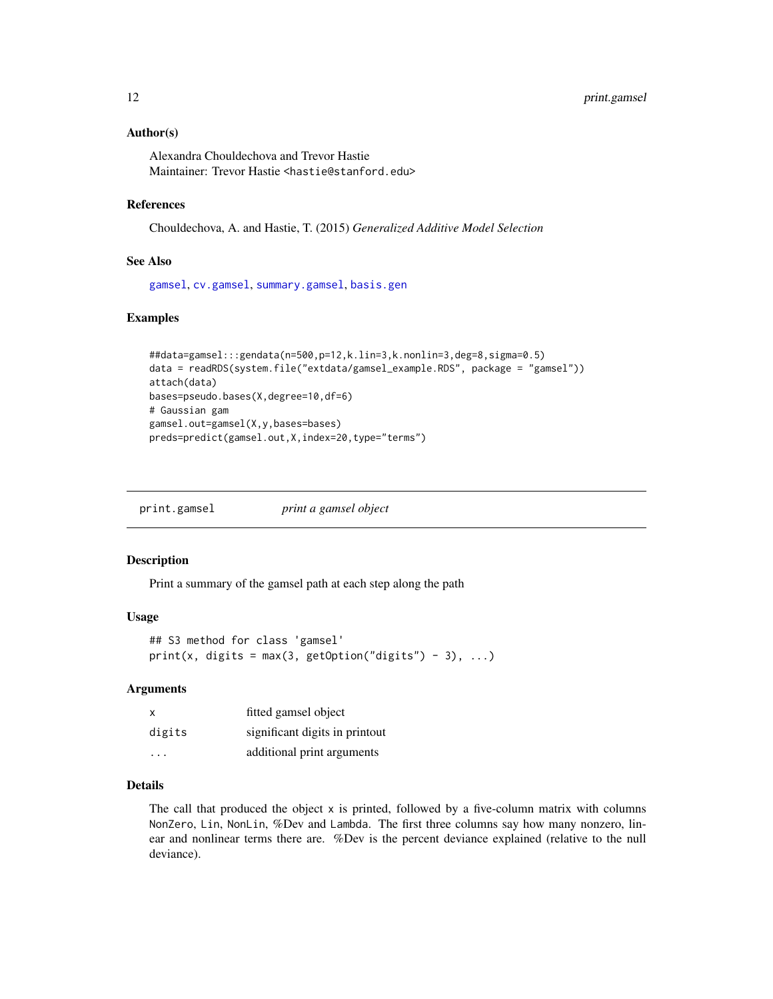#### <span id="page-11-0"></span>Author(s)

Alexandra Chouldechova and Trevor Hastie Maintainer: Trevor Hastie <hastie@stanford.edu>

### References

Chouldechova, A. and Hastie, T. (2015) *Generalized Additive Model Selection*

#### See Also

[gamsel](#page-4-1), [cv.gamsel](#page-2-1), [summary.gamsel](#page-13-1), [basis.gen](#page-1-1)

#### Examples

```
##data=gamsel:::gendata(n=500,p=12,k.lin=3,k.nonlin=3,deg=8,sigma=0.5)
data = readRDS(system.file("extdata/gamsel_example.RDS", package = "gamsel"))
attach(data)
bases=pseudo.bases(X,degree=10,df=6)
# Gaussian gam
gamsel.out=gamsel(X,y,bases=bases)
preds=predict(gamsel.out,X,index=20,type="terms")
```
<span id="page-11-1"></span>print.gamsel *print a gamsel object*

#### Description

Print a summary of the gamsel path at each step along the path

# Usage

```
## S3 method for class 'gamsel'
print(x, digits = max(3, getOption("digits") - 3), ...)
```
#### Arguments

| X      | fitted gamsel object           |
|--------|--------------------------------|
| digits | significant digits in printout |
| .      | additional print arguments     |

#### Details

The call that produced the object x is printed, followed by a five-column matrix with columns NonZero, Lin, NonLin, %Dev and Lambda. The first three columns say how many nonzero, linear and nonlinear terms there are. %Dev is the percent deviance explained (relative to the null deviance).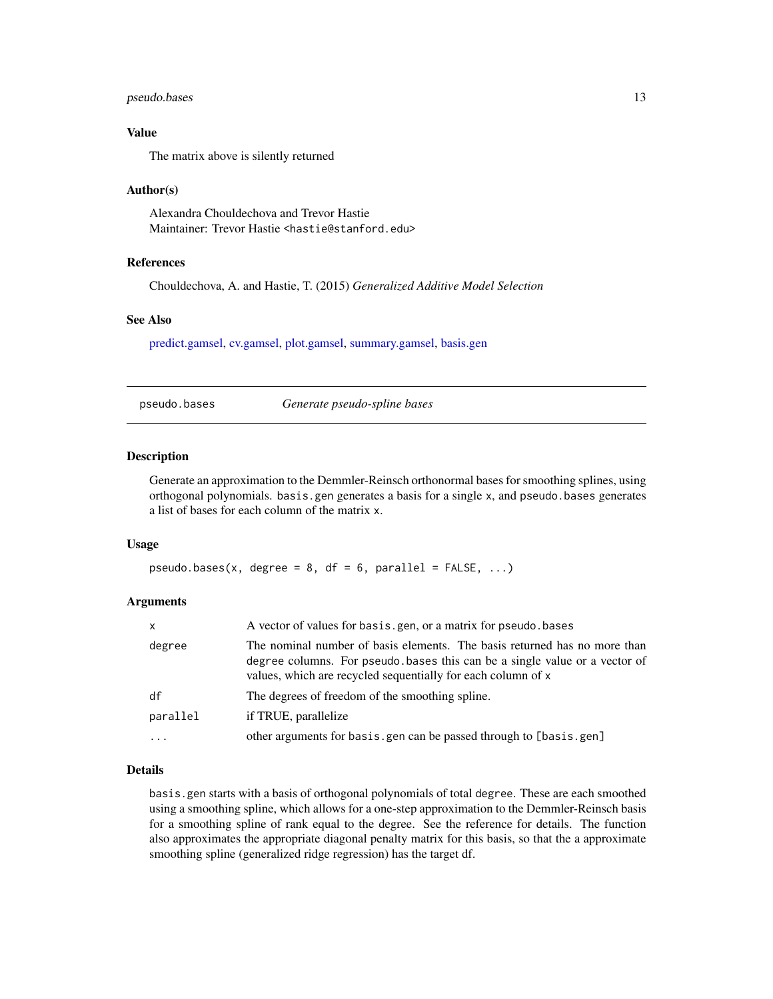#### <span id="page-12-0"></span>pseudo.bases 13

#### Value

The matrix above is silently returned

#### Author(s)

Alexandra Chouldechova and Trevor Hastie Maintainer: Trevor Hastie <hastie@stanford.edu>

#### References

Chouldechova, A. and Hastie, T. (2015) *Generalized Additive Model Selection*

#### See Also

[predict.gamsel,](#page-10-1) [cv.gamsel,](#page-2-1) [plot.gamsel,](#page-9-1) [summary.gamsel,](#page-13-1) [basis.gen](#page-1-1)

<span id="page-12-1"></span>pseudo.bases *Generate pseudo-spline bases*

#### Description

Generate an approximation to the Demmler-Reinsch orthonormal bases for smoothing splines, using orthogonal polynomials. basis.gen generates a basis for a single x, and pseudo.bases generates a list of bases for each column of the matrix x.

#### Usage

```
pseudo.bases(x, degree = 8, df = 6, parallel = FALKF, ...)
```
#### Arguments

| x        | A vector of values for basis, gen, or a matrix for pseudo, bases                                                                                                                                                        |
|----------|-------------------------------------------------------------------------------------------------------------------------------------------------------------------------------------------------------------------------|
| degree   | The nominal number of basis elements. The basis returned has no more than<br>degree columns. For pseudo bases this can be a single value or a vector of<br>values, which are recycled sequentially for each column of x |
| df       | The degrees of freedom of the smoothing spline.                                                                                                                                                                         |
| parallel | if TRUE, parallelize                                                                                                                                                                                                    |
| $\cdots$ | other arguments for basis.gen can be passed through to [basis.gen]                                                                                                                                                      |

# Details

basis.gen starts with a basis of orthogonal polynomials of total degree. These are each smoothed using a smoothing spline, which allows for a one-step approximation to the Demmler-Reinsch basis for a smoothing spline of rank equal to the degree. See the reference for details. The function also approximates the appropriate diagonal penalty matrix for this basis, so that the a approximate smoothing spline (generalized ridge regression) has the target df.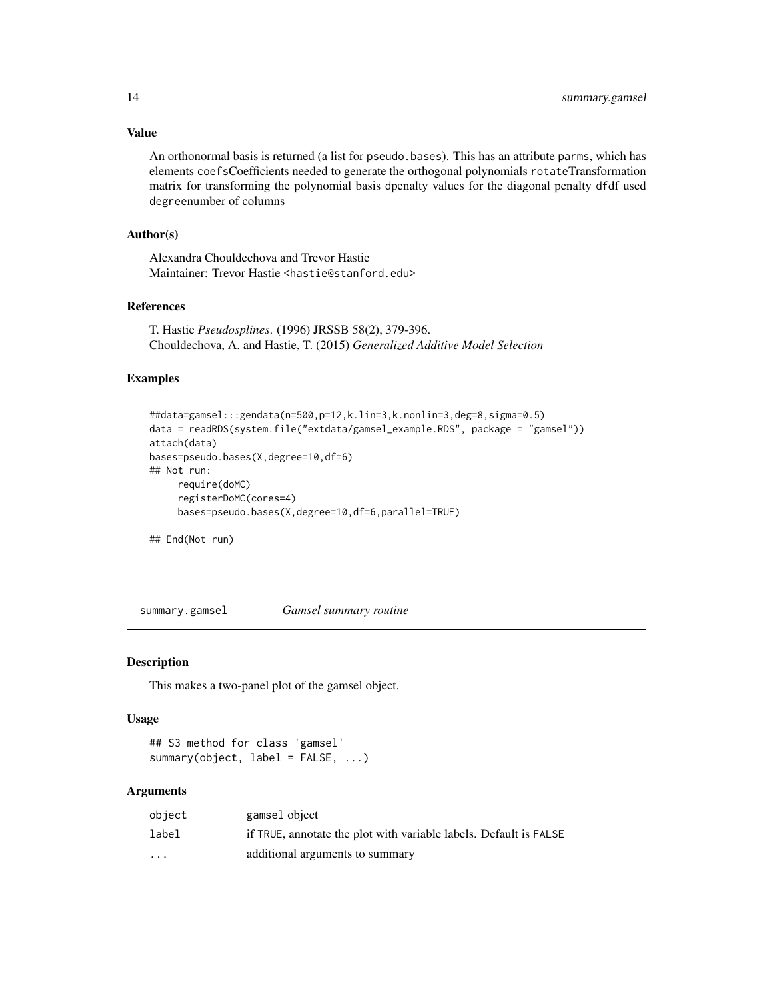#### <span id="page-13-0"></span>Value

An orthonormal basis is returned (a list for pseudo.bases). This has an attribute parms, which has elements coefsCoefficients needed to generate the orthogonal polynomials rotateTransformation matrix for transforming the polynomial basis dpenalty values for the diagonal penalty dfdf used degreenumber of columns

### Author(s)

Alexandra Chouldechova and Trevor Hastie Maintainer: Trevor Hastie <hastie@stanford.edu>

## References

T. Hastie *Pseudosplines*. (1996) JRSSB 58(2), 379-396. Chouldechova, A. and Hastie, T. (2015) *Generalized Additive Model Selection*

#### Examples

```
##data=gamsel:::gendata(n=500,p=12,k.lin=3,k.nonlin=3,deg=8,sigma=0.5)
data = readRDS(system.file("extdata/gamsel_example.RDS", package = "gamsel"))
attach(data)
bases=pseudo.bases(X,degree=10,df=6)
## Not run:
     require(doMC)
     registerDoMC(cores=4)
     bases=pseudo.bases(X,degree=10,df=6,parallel=TRUE)
```
## End(Not run)

<span id="page-13-1"></span>summary.gamsel *Gamsel summary routine*

#### Description

This makes a two-panel plot of the gamsel object.

#### Usage

```
## S3 method for class 'gamsel'
summary(object, label = FALSE, ...)
```
# Arguments

| obiect                  | gamsel object                                                     |
|-------------------------|-------------------------------------------------------------------|
| label                   | if TRUE, annotate the plot with variable labels. Default is FALSE |
| $\cdot$ $\cdot$ $\cdot$ | additional arguments to summary                                   |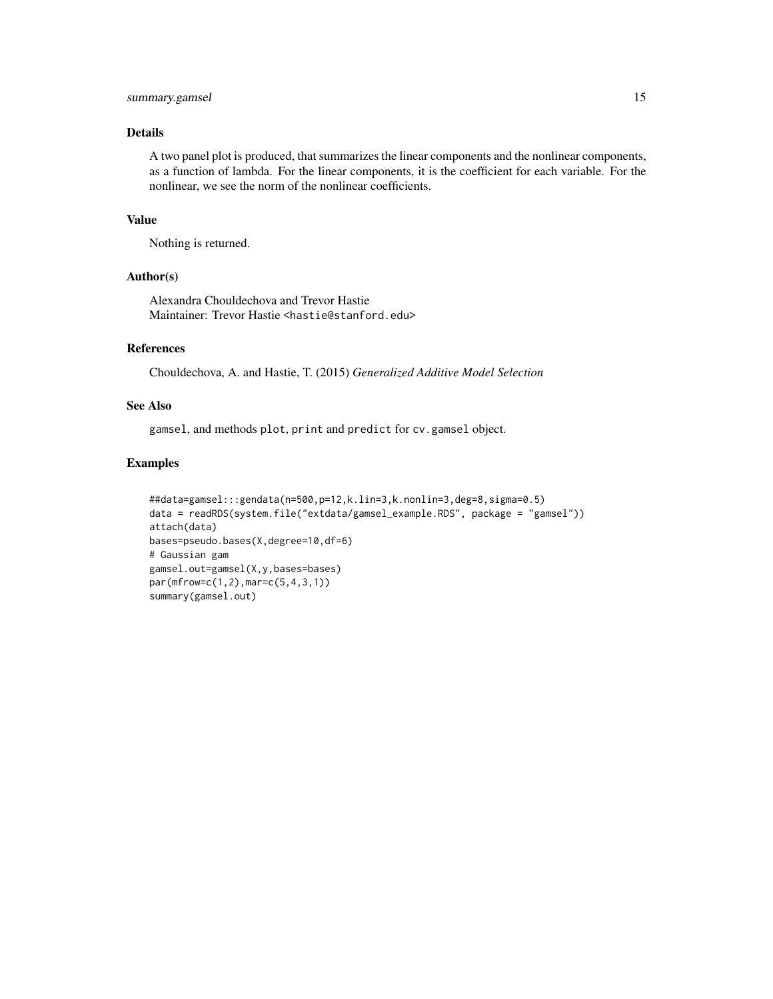# summary.gamsel 15

#### Details

A two panel plot is produced, that summarizes the linear components and the nonlinear components, as a function of lambda. For the linear components, it is the coefficient for each variable. For the nonlinear, we see the norm of the nonlinear coefficients.

#### Value

Nothing is returned.

# Author(s)

Alexandra Chouldechova and Trevor Hastie Maintainer: Trevor Hastie <hastie@stanford.edu>

#### References

Chouldechova, A. and Hastie, T. (2015) *Generalized Additive Model Selection*

# See Also

gamsel, and methods plot, print and predict for cv.gamsel object.

#### Examples

```
##data=gamsel:::gendata(n=500,p=12,k.lin=3,k.nonlin=3,deg=8,sigma=0.5)
data = readRDS(system.file("extdata/gamsel_example.RDS", package = "gamsel"))
attach(data)
bases=pseudo.bases(X,degree=10,df=6)
# Gaussian gam
gamsel.out=gamsel(X,y,bases=bases)
par(mfrow=c(1,2),mar=c(5,4,3,1))
summary(gamsel.out)
```